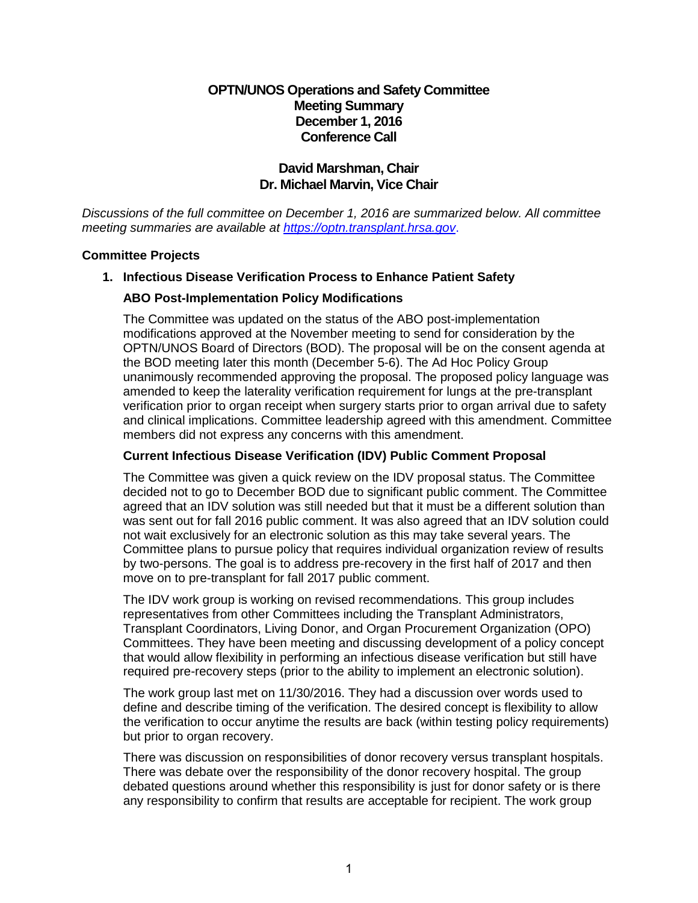# **OPTN/UNOS Operations and Safety Committee Meeting Summary December 1, 2016 Conference Call**

# **David Marshman, Chair Dr. Michael Marvin, Vice Chair**

*Discussions of the full committee on December 1, 2016 are summarized below. All committee meeting summaries are available at [https://optn.transplant.hrsa.gov](https://optn.transplant.hrsa.gov/)*.

#### **Committee Projects**

## **1. Infectious Disease Verification Process to Enhance Patient Safety**

#### **ABO Post-Implementation Policy Modifications**

The Committee was updated on the status of the ABO post-implementation modifications approved at the November meeting to send for consideration by the OPTN/UNOS Board of Directors (BOD). The proposal will be on the consent agenda at the BOD meeting later this month (December 5-6). The Ad Hoc Policy Group unanimously recommended approving the proposal. The proposed policy language was amended to keep the laterality verification requirement for lungs at the pre-transplant verification prior to organ receipt when surgery starts prior to organ arrival due to safety and clinical implications. Committee leadership agreed with this amendment. Committee members did not express any concerns with this amendment.

### **Current Infectious Disease Verification (IDV) Public Comment Proposal**

The Committee was given a quick review on the IDV proposal status. The Committee decided not to go to December BOD due to significant public comment. The Committee agreed that an IDV solution was still needed but that it must be a different solution than was sent out for fall 2016 public comment. It was also agreed that an IDV solution could not wait exclusively for an electronic solution as this may take several years. The Committee plans to pursue policy that requires individual organization review of results by two-persons. The goal is to address pre-recovery in the first half of 2017 and then move on to pre-transplant for fall 2017 public comment.

The IDV work group is working on revised recommendations. This group includes representatives from other Committees including the Transplant Administrators, Transplant Coordinators, Living Donor, and Organ Procurement Organization (OPO) Committees. They have been meeting and discussing development of a policy concept that would allow flexibility in performing an infectious disease verification but still have required pre-recovery steps (prior to the ability to implement an electronic solution).

The work group last met on 11/30/2016. They had a discussion over words used to define and describe timing of the verification. The desired concept is flexibility to allow the verification to occur anytime the results are back (within testing policy requirements) but prior to organ recovery.

There was discussion on responsibilities of donor recovery versus transplant hospitals. There was debate over the responsibility of the donor recovery hospital. The group debated questions around whether this responsibility is just for donor safety or is there any responsibility to confirm that results are acceptable for recipient. The work group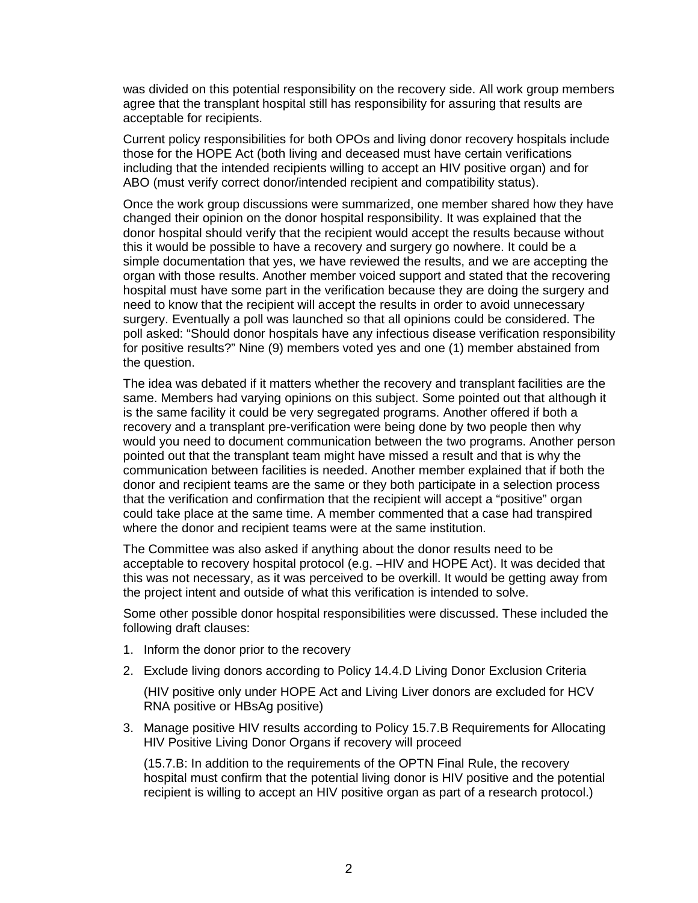was divided on this potential responsibility on the recovery side. All work group members agree that the transplant hospital still has responsibility for assuring that results are acceptable for recipients.

Current policy responsibilities for both OPOs and living donor recovery hospitals include those for the HOPE Act (both living and deceased must have certain verifications including that the intended recipients willing to accept an HIV positive organ) and for ABO (must verify correct donor/intended recipient and compatibility status).

Once the work group discussions were summarized, one member shared how they have changed their opinion on the donor hospital responsibility. It was explained that the donor hospital should verify that the recipient would accept the results because without this it would be possible to have a recovery and surgery go nowhere. It could be a simple documentation that yes, we have reviewed the results, and we are accepting the organ with those results. Another member voiced support and stated that the recovering hospital must have some part in the verification because they are doing the surgery and need to know that the recipient will accept the results in order to avoid unnecessary surgery. Eventually a poll was launched so that all opinions could be considered. The poll asked: "Should donor hospitals have any infectious disease verification responsibility for positive results?" Nine (9) members voted yes and one (1) member abstained from the question.

The idea was debated if it matters whether the recovery and transplant facilities are the same. Members had varying opinions on this subject. Some pointed out that although it is the same facility it could be very segregated programs. Another offered if both a recovery and a transplant pre-verification were being done by two people then why would you need to document communication between the two programs. Another person pointed out that the transplant team might have missed a result and that is why the communication between facilities is needed. Another member explained that if both the donor and recipient teams are the same or they both participate in a selection process that the verification and confirmation that the recipient will accept a "positive" organ could take place at the same time. A member commented that a case had transpired where the donor and recipient teams were at the same institution.

The Committee was also asked if anything about the donor results need to be acceptable to recovery hospital protocol (e.g. –HIV and HOPE Act). It was decided that this was not necessary, as it was perceived to be overkill. It would be getting away from the project intent and outside of what this verification is intended to solve.

Some other possible donor hospital responsibilities were discussed. These included the following draft clauses:

- 1. Inform the donor prior to the recovery
- 2. Exclude living donors according to Policy 14.4.D Living Donor Exclusion Criteria

(HIV positive only under HOPE Act and Living Liver donors are excluded for HCV RNA positive or HBsAg positive)

3. Manage positive HIV results according to Policy 15.7.B Requirements for Allocating HIV Positive Living Donor Organs if recovery will proceed

(15.7.B: In addition to the requirements of the OPTN Final Rule, the recovery hospital must confirm that the potential living donor is HIV positive and the potential recipient is willing to accept an HIV positive organ as part of a research protocol.)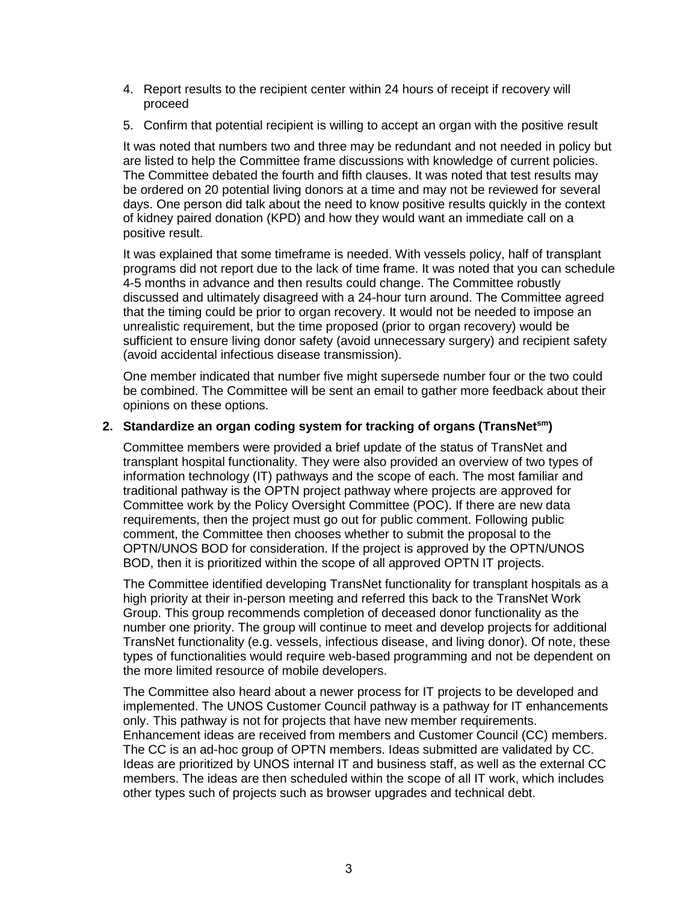- 4. Report results to the recipient center within 24 hours of receipt if recovery will proceed
- 5. Confirm that potential recipient is willing to accept an organ with the positive result

It was noted that numbers two and three may be redundant and not needed in policy but are listed to help the Committee frame discussions with knowledge of current policies. The Committee debated the fourth and fifth clauses. It was noted that test results may be ordered on 20 potential living donors at a time and may not be reviewed for several days. One person did talk about the need to know positive results quickly in the context of kidney paired donation (KPD) and how they would want an immediate call on a positive result.

It was explained that some timeframe is needed. With vessels policy, half of transplant programs did not report due to the lack of time frame. It was noted that you can schedule 4-5 months in advance and then results could change. The Committee robustly discussed and ultimately disagreed with a 24-hour turn around. The Committee agreed that the timing could be prior to organ recovery. It would not be needed to impose an unrealistic requirement, but the time proposed (prior to organ recovery) would be sufficient to ensure living donor safety (avoid unnecessary surgery) and recipient safety (avoid accidental infectious disease transmission).

One member indicated that number five might supersede number four or the two could be combined. The Committee will be sent an email to gather more feedback about their opinions on these options.

### **2. Standardize an organ coding system for tracking of organs (TransNetsm)**

Committee members were provided a brief update of the status of TransNet and transplant hospital functionality. They were also provided an overview of two types of information technology (IT) pathways and the scope of each. The most familiar and traditional pathway is the OPTN project pathway where projects are approved for Committee work by the Policy Oversight Committee (POC). If there are new data requirements, then the project must go out for public comment. Following public comment, the Committee then chooses whether to submit the proposal to the OPTN/UNOS BOD for consideration. If the project is approved by the OPTN/UNOS BOD, then it is prioritized within the scope of all approved OPTN IT projects.

The Committee identified developing TransNet functionality for transplant hospitals as a high priority at their in-person meeting and referred this back to the TransNet Work Group. This group recommends completion of deceased donor functionality as the number one priority. The group will continue to meet and develop projects for additional TransNet functionality (e.g. vessels, infectious disease, and living donor). Of note, these types of functionalities would require web-based programming and not be dependent on the more limited resource of mobile developers.

The Committee also heard about a newer process for IT projects to be developed and implemented. The UNOS Customer Council pathway is a pathway for IT enhancements only. This pathway is not for projects that have new member requirements. Enhancement ideas are received from members and Customer Council (CC) members. The CC is an ad-hoc group of OPTN members. Ideas submitted are validated by CC. Ideas are prioritized by UNOS internal IT and business staff, as well as the external CC members. The ideas are then scheduled within the scope of all IT work, which includes other types such of projects such as browser upgrades and technical debt.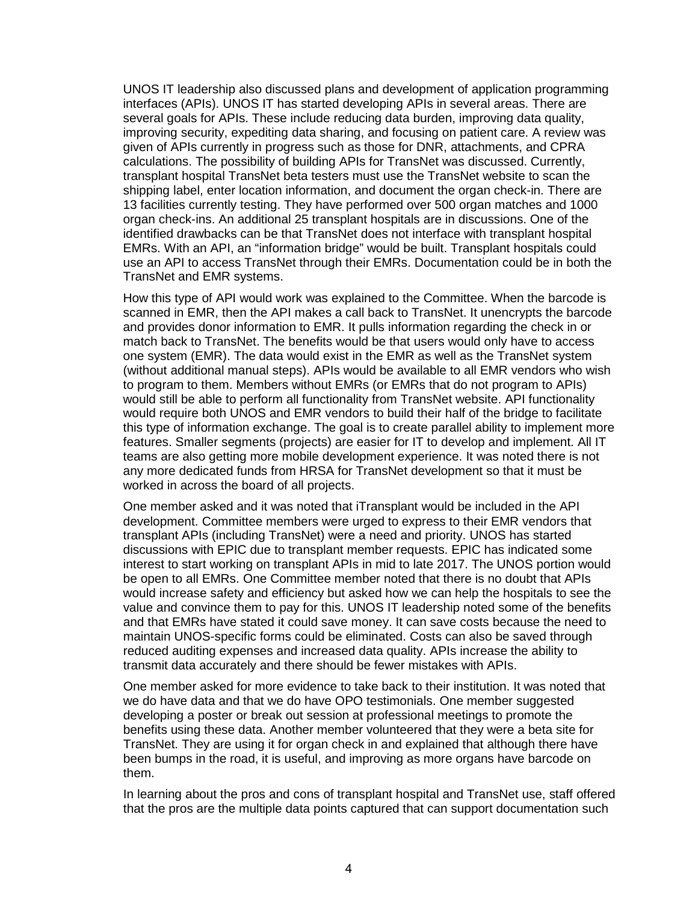UNOS IT leadership also discussed plans and development of application programming interfaces (APIs). UNOS IT has started developing APIs in several areas. There are several goals for APIs. These include reducing data burden, improving data quality, improving security, expediting data sharing, and focusing on patient care. A review was given of APIs currently in progress such as those for DNR, attachments, and CPRA calculations. The possibility of building APIs for TransNet was discussed. Currently, transplant hospital TransNet beta testers must use the TransNet website to scan the shipping label, enter location information, and document the organ check-in. There are 13 facilities currently testing. They have performed over 500 organ matches and 1000 organ check-ins. An additional 25 transplant hospitals are in discussions. One of the identified drawbacks can be that TransNet does not interface with transplant hospital EMRs. With an API, an "information bridge" would be built. Transplant hospitals could use an API to access TransNet through their EMRs. Documentation could be in both the TransNet and EMR systems.

How this type of API would work was explained to the Committee. When the barcode is scanned in EMR, then the API makes a call back to TransNet. It unencrypts the barcode and provides donor information to EMR. It pulls information regarding the check in or match back to TransNet. The benefits would be that users would only have to access one system (EMR). The data would exist in the EMR as well as the TransNet system (without additional manual steps). APIs would be available to all EMR vendors who wish to program to them. Members without EMRs (or EMRs that do not program to APIs) would still be able to perform all functionality from TransNet website. API functionality would require both UNOS and EMR vendors to build their half of the bridge to facilitate this type of information exchange. The goal is to create parallel ability to implement more features. Smaller segments (projects) are easier for IT to develop and implement. All IT teams are also getting more mobile development experience. It was noted there is not any more dedicated funds from HRSA for TransNet development so that it must be worked in across the board of all projects.

One member asked and it was noted that iTransplant would be included in the API development. Committee members were urged to express to their EMR vendors that transplant APIs (including TransNet) were a need and priority. UNOS has started discussions with EPIC due to transplant member requests. EPIC has indicated some interest to start working on transplant APIs in mid to late 2017. The UNOS portion would be open to all EMRs. One Committee member noted that there is no doubt that APIs would increase safety and efficiency but asked how we can help the hospitals to see the value and convince them to pay for this. UNOS IT leadership noted some of the benefits and that EMRs have stated it could save money. It can save costs because the need to maintain UNOS-specific forms could be eliminated. Costs can also be saved through reduced auditing expenses and increased data quality. APIs increase the ability to transmit data accurately and there should be fewer mistakes with APIs.

One member asked for more evidence to take back to their institution. It was noted that we do have data and that we do have OPO testimonials. One member suggested developing a poster or break out session at professional meetings to promote the benefits using these data. Another member volunteered that they were a beta site for TransNet. They are using it for organ check in and explained that although there have been bumps in the road, it is useful, and improving as more organs have barcode on them.

In learning about the pros and cons of transplant hospital and TransNet use, staff offered that the pros are the multiple data points captured that can support documentation such